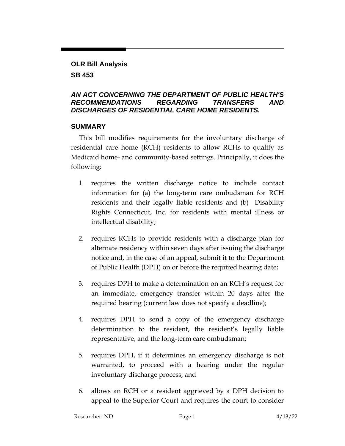#### **OLR Bill Analysis**

### **SB 453**

## *AN ACT CONCERNING THE DEPARTMENT OF PUBLIC HEALTH'S RECOMMENDATIONS REGARDING TRANSFERS AND DISCHARGES OF RESIDENTIAL CARE HOME RESIDENTS.*

#### **SUMMARY**

This bill modifies requirements for the involuntary discharge of residential care home (RCH) residents to allow RCHs to qualify as Medicaid home- and community-based settings. Principally, it does the following:

- 1. requires the written discharge notice to include contact information for (a) the long-term care ombudsman for RCH residents and their legally liable residents and (b) Disability Rights Connecticut, Inc. for residents with mental illness or intellectual disability;
- 2. requires RCHs to provide residents with a discharge plan for alternate residency within seven days after issuing the discharge notice and, in the case of an appeal, submit it to the Department of Public Health (DPH) on or before the required hearing date;
- 3. requires DPH to make a determination on an RCH's request for an immediate, emergency transfer within 20 days after the required hearing (current law does not specify a deadline);
- 4. requires DPH to send a copy of the emergency discharge determination to the resident, the resident's legally liable representative, and the long-term care ombudsman;
- 5. requires DPH, if it determines an emergency discharge is not warranted, to proceed with a hearing under the regular involuntary discharge process; and
- 6. allows an RCH or a resident aggrieved by a DPH decision to appeal to the Superior Court and requires the court to consider